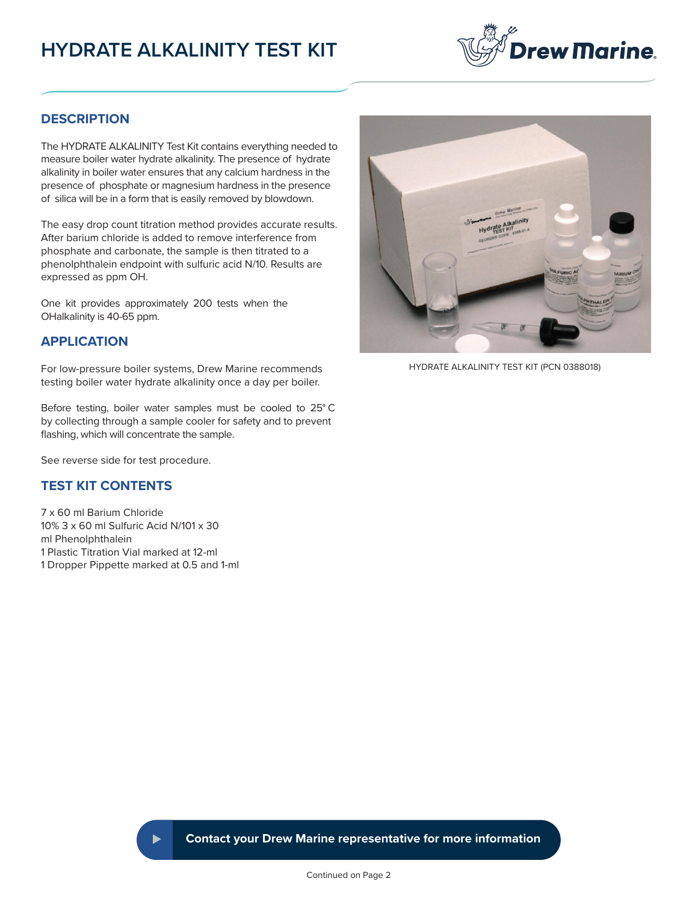# **HYDRATE ALKALINITY TEST KIT**



#### **DESCRIPTION**

The HYDRATE ALKALINITY Test Kit contains everything needed to measure boiler water hydrate alkalinity. The presence of hydrate alkalinity in boiler water ensures that any calcium hardness in the presence of phosphate or magnesium hardness in the presence of silica will be in a form that is easily removed by blowdown.

The easy drop count titration method provides accurate results. After barium chloride is added to remove interference from phosphate and carbonate, the sample is then titrated to a phenolphthalein endpoint with sulfuric acid N/10. Results are expressed as ppm OH.

One kit provides approximately 200 tests when the OHalkalinity is 40-65 ppm.

#### **APPLICATION**

For low-pressure boiler systems, Drew Marine recommends testing boiler water hydrate alkalinity once a day per boiler.

Before testing, boiler water samples must be cooled to 25° C by collecting through a sample cooler for safety and to prevent flashing, which will concentrate the sample.

See reverse side for test procedure.

## **TEST KIT CONTENTS**

7 x 60 ml Barium Chloride 10% 3 x 60 ml Sulfuric Acid N/101 x 30 ml Phenolphthalein 1 Plastic Titration Vial marked at 12-ml 1 Dropper Pippette marked at 0.5 and 1-ml



HYDRATE ALKALINITY TEST KIT (PCN 0388018)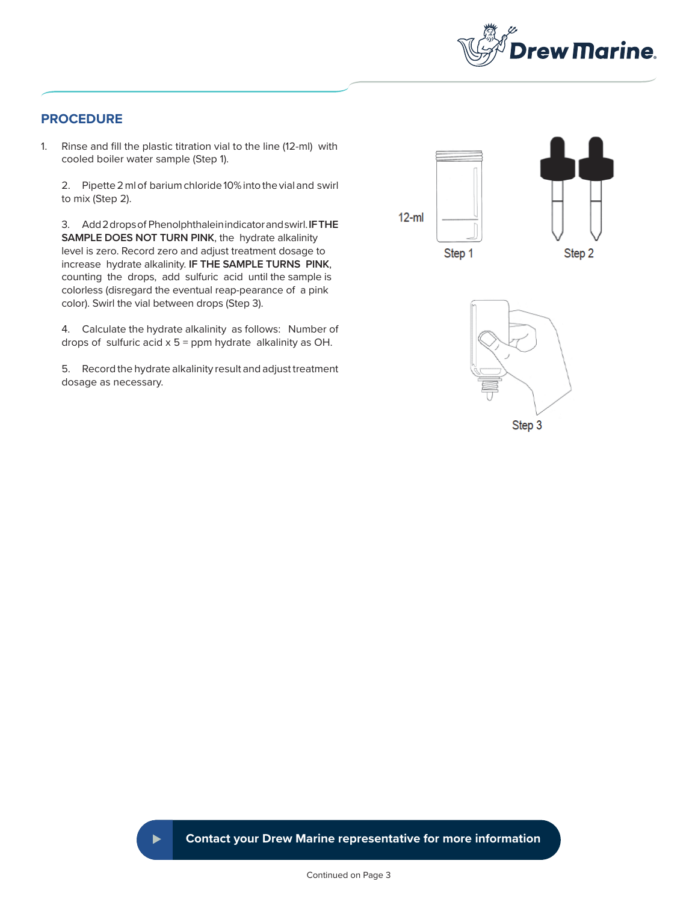

### **PROCEDURE**

1. Rinse and fill the plastic titration vial to the line (12-ml) with cooled boiler water sample (Step 1).

2. Pipette 2 ml of barium chloride 10% into the vial and swirl to mix (Step 2).

3. Add 2 drops of Phenolphthalein indicator and swirl. **IF THE SAMPLE DOES NOT TURN PINK**, the hydrate alkalinity level is zero. Record zero and adjust treatment dosage to increase hydrate alkalinity. **IF THE SAMPLE TURNS PINK**, counting the drops, add sulfuric acid until the sample is colorless (disregard the eventual reap-pearance of a pink color). Swirl the vial between drops (Step 3).

4. Calculate the hydrate alkalinity as follows: Number of drops of sulfuric acid  $x$  5 = ppm hydrate alkalinity as OH.

5. Record the hydrate alkalinity result and adjust treatment dosage as necessary.